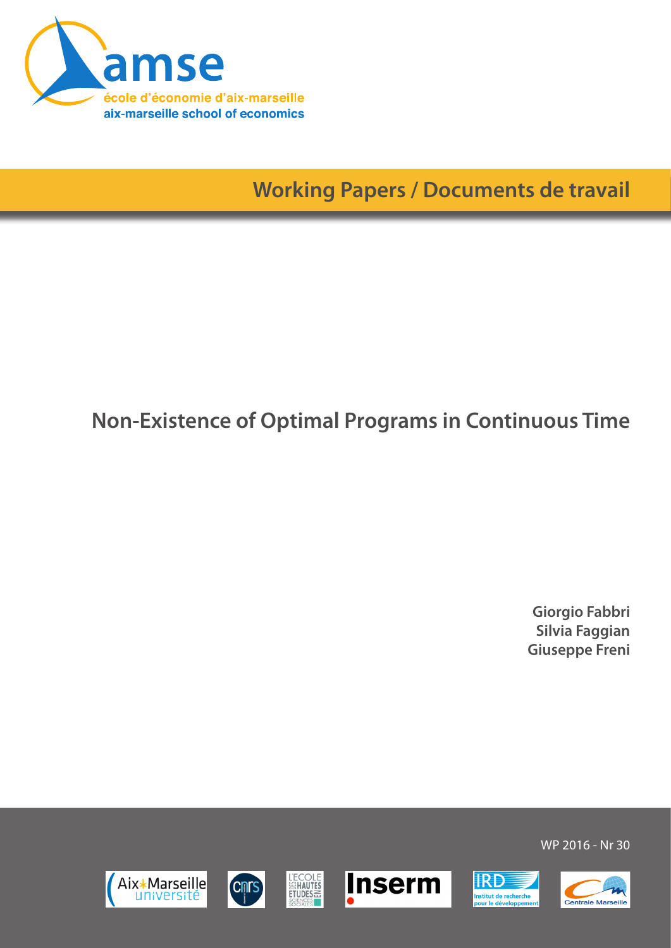

**Working Papers / Documents de travail**

# **Non-Existence of Optimal Programs in Continuous Time**

**Giorgio Fabbri Silvia Faggian Giuseppe Freni**

WP 2016 - Nr 30

**IRD** 

nstitut de recherche<br>pour le développeme







**L'ECOLE**<br>SENAUTES<br>ETUDES

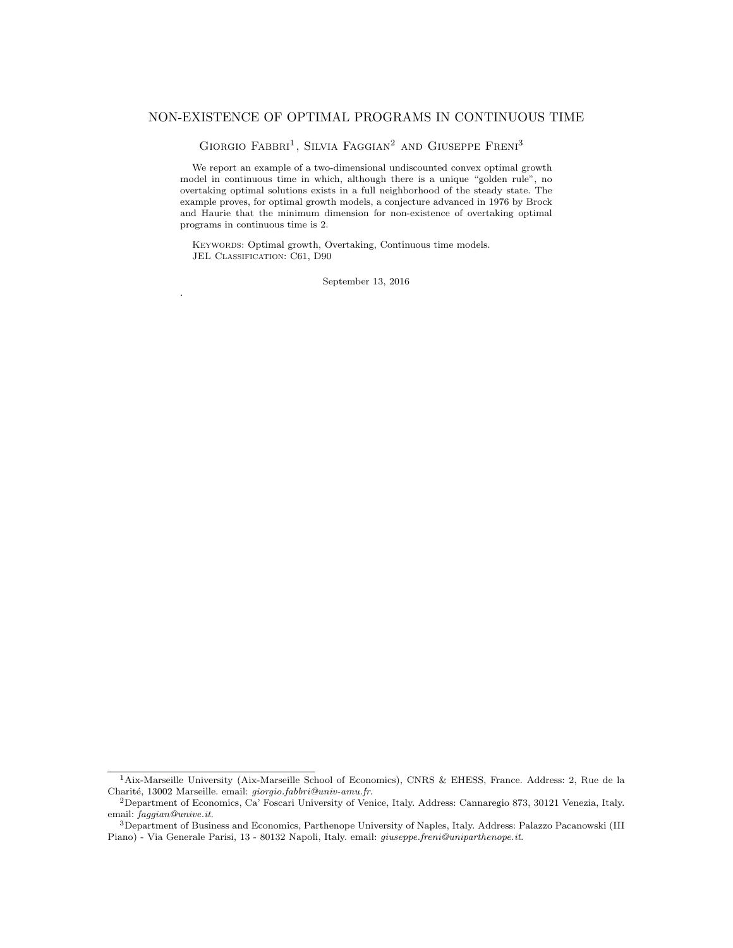# NON-EXISTENCE OF OPTIMAL PROGRAMS IN CONTINUOUS TIME

GIORGIO FABBRI<sup>1</sup>, SILVIA FAGGIAN<sup>2</sup> AND GIUSEPPE FRENI<sup>3</sup>

We report an example of a two-dimensional undiscounted convex optimal growth model in continuous time in which, although there is a unique "golden rule", no overtaking optimal solutions exists in a full neighborhood of the steady state. The example proves, for optimal growth models, a conjecture advanced in 1976 by Brock and Haurie that the minimum dimension for non-existence of overtaking optimal programs in continuous time is 2.

KEYWORDS: Optimal growth, Overtaking, Continuous time models. JEL CLASSIFICATION: C61, D90

.

September 13, 2016

<sup>&</sup>lt;sup>1</sup>Aix-Marseille University (Aix-Marseille School of Economics), CNRS & EHESS, France. Address: 2, Rue de la Charité, 13002 Marseille. email: giorgio.fabbri@univ-amu.fr.

<sup>2</sup>Department of Economics, Ca' Foscari University of Venice, Italy. Address: Cannaregio 873, 30121 Venezia, Italy. email: faggian@unive.it.

<sup>3</sup>Department of Business and Economics, Parthenope University of Naples, Italy. Address: Palazzo Pacanowski (III Piano) - Via Generale Parisi, 13 - 80132 Napoli, Italy. email: giuseppe.freni@uniparthenope.it.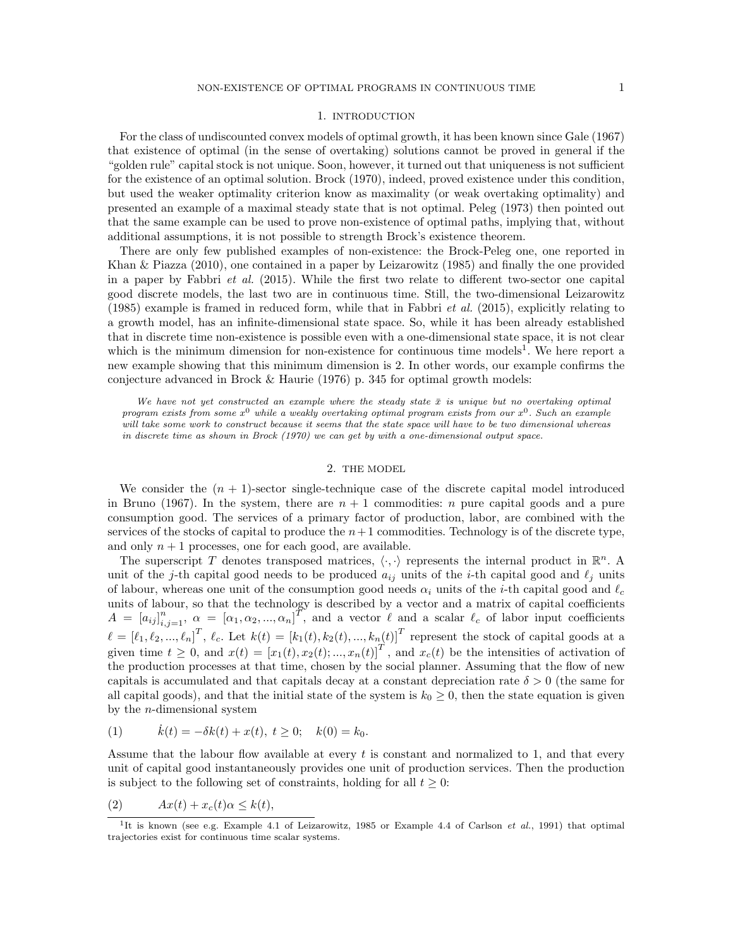#### 1. INTRODUCTION

For the class of undiscounted convex models of optimal growth, it has been known since Gale (1967) that existence of optimal (in the sense of overtaking) solutions cannot be proved in general if the "golden rule" capital stock is not unique. Soon, however, it turned out that uniqueness is not sufficient for the existence of an optimal solution. Brock (1970), indeed, proved existence under this condition, but used the weaker optimality criterion know as maximality (or weak overtaking optimality) and presented an example of a maximal steady state that is not optimal. Peleg (1973) then pointed out that the same example can be used to prove non-existence of optimal paths, implying that, without additional assumptions, it is not possible to strength Brock's existence theorem.

There are only few published examples of non-existence: the Brock-Peleg one, one reported in Khan & Piazza (2010), one contained in a paper by Leizarowitz (1985) and finally the one provided in a paper by Fabbri et al. (2015). While the first two relate to different two-sector one capital good discrete models, the last two are in continuous time. Still, the two-dimensional Leizarowitz (1985) example is framed in reduced form, while that in Fabbri *et al.* (2015), explicitly relating to a growth model, has an infinite-dimensional state space. So, while it has been already established that in discrete time non-existence is possible even with a one-dimensional state space, it is not clear which is the minimum dimension for non-existence for continuous time models<sup>1</sup>. We here report a new example showing that this minimum dimension is 2. In other words, our example confirms the conjecture advanced in Brock  $\&$  Haurie (1976) p. 345 for optimal growth models:

We have not yet constructed an example where the steady state  $\bar{x}$  is unique but no overtaking optimal program exists from some  $x^0$  while a weakly overtaking optimal program exists from our  $x^0$ . Such an example will take some work to construct because it seems that the state space will have to be two dimensional whereas in discrete time as shown in Brock (1970) we can get by with a one-dimensional output space.

# 2. THE MODEL

We consider the  $(n + 1)$ -sector single-technique case of the discrete capital model introduced in Bruno (1967). In the system, there are  $n + 1$  commodities: n pure capital goods and a pure consumption good. The services of a primary factor of production, labor, are combined with the services of the stocks of capital to produce the  $n+1$  commodities. Technology is of the discrete type, and only  $n + 1$  processes, one for each good, are available.

The superscript T denotes transposed matrices,  $\langle \cdot, \cdot \rangle$  represents the internal product in  $\mathbb{R}^n$ . A unit of the j-th capital good needs to be produced  $a_{ij}$  units of the i-th capital good and  $\ell_j$  units of labour, whereas one unit of the consumption good needs  $\alpha_i$  units of the *i*-th capital good and  $\ell_c$ units of labour, so that the technology is described by a vector and a matrix of capital coefficients  $A = [a_{ij}]_{i,j=1}^n$ ,  $\alpha = [\alpha_1, \alpha_2, ..., \alpha_n]^T$ , and a vector  $\ell$  and a scalar  $\ell_c$  of labor input coefficients  $\ell = [\ell_1, \ell_2, ..., \ell_n]^T$ ,  $\ell_c$ . Let  $k(t) = [k_1(t), k_2(t), ..., k_n(t)]^T$  represent the stock of capital goods at a given time  $t \geq 0$ , and  $x(t) = [x_1(t), x_2(t); ..., x_n(t)]^T$ , and  $x_c(t)$  be the intensities of activation of the production processes at that time, chosen by the social planner. Assuming that the flow of new capitals is accumulated and that capitals decay at a constant depreciation rate  $\delta > 0$  (the same for all capital goods), and that the initial state of the system is  $k_0 \geq 0$ , then the state equation is given by the *n*-dimensional system

(1) 
$$
\dot{k}(t) = -\delta k(t) + x(t), t \ge 0; \quad k(0) = k_0.
$$

Assume that the labour flow available at every  $t$  is constant and normalized to 1, and that every unit of capital good instantaneously provides one unit of production services. Then the production is subject to the following set of constraints, holding for all  $t \geq 0$ :

$$
(2) \tAx(t) + x_c(t)\alpha \le k(t),
$$

<sup>&</sup>lt;sup>1</sup>It is known (see e.g. Example 4.1 of Leizarowitz, 1985 or Example 4.4 of Carlson *et al.*, 1991) that optimal trajectories exist for continuous time scalar systems.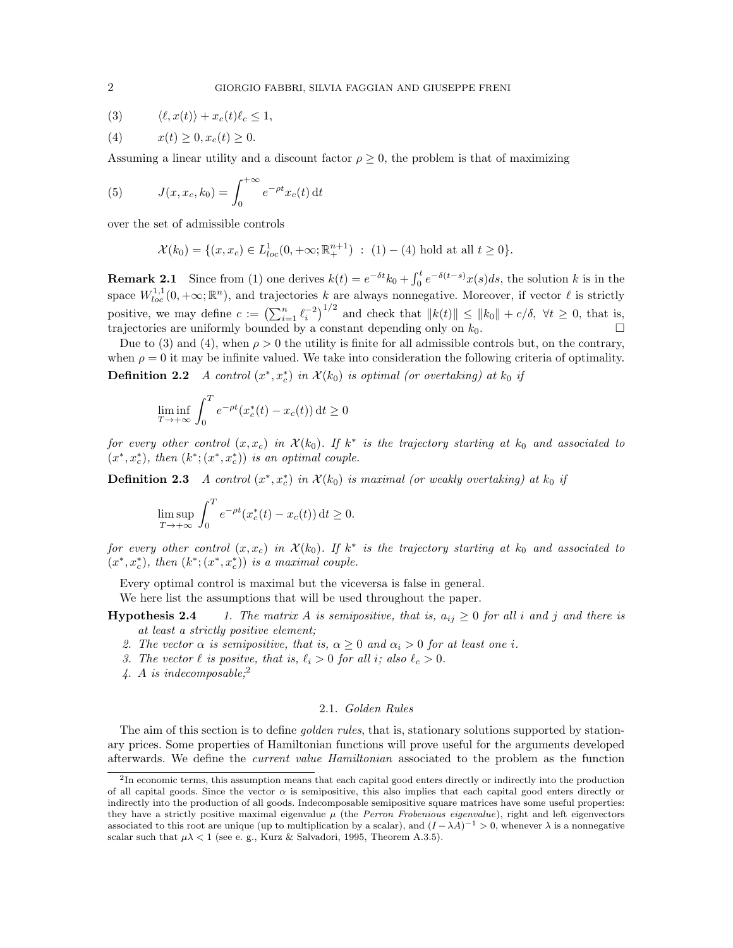$$
(3) \qquad \langle \ell, x(t) \rangle + x_c(t)\ell_c \le 1,
$$

$$
(4) \t x(t) \ge 0, x_c(t) \ge 0.
$$

Assuming a linear utility and a discount factor  $\rho \geq 0$ , the problem is that of maximizing

(5) 
$$
J(x, x_c, k_0) = \int_0^{+\infty} e^{-\rho t} x_c(t) dt
$$

over the set of admissible controls

$$
\mathcal{X}(k_0) = \{ (x, x_c) \in L^1_{loc}(0, +\infty; \mathbb{R}^{n+1}_+) : (1) - (4) \text{ hold at all } t \ge 0 \}.
$$

**Remark 2.1** Since from (1) one derives  $k(t) = e^{-\delta t} k_0 + \int_0^t e^{-\delta(t-s)x(s)} ds$ , the solution k is in the space  $W_{loc}^{1,1}(0,+\infty;\mathbb{R}^n)$ , and trajectories k are always nonnegative. Moreover, if vector  $\ell$  is strictly positive, we may define  $c := (\sum_{i=1}^n \ell_i^{-2})^{1/2}$  and check that  $||k(t)|| \le ||k_0|| + c/\delta$ ,  $\forall t \ge 0$ , that is, trajectories are uniformly bounded by a constant depending only on  $k_0$ .

Due to (3) and (4), when  $\rho > 0$  the utility is finite for all admissible controls but, on the contrary, when  $\rho = 0$  it may be infinite valued. We take into consideration the following criteria of optimality. **Definition 2.2** A control  $(x^*, x_c^*)$  in  $\mathcal{X}(k_0)$  is optimal (or overtaking) at  $k_0$  if

$$
\liminf_{T \to +\infty} \int_0^T e^{-\rho t} (x_c^*(t) - x_c(t)) dt \ge 0
$$

for every other control  $(x, x_c)$  in  $\mathcal{X}(k_0)$ . If  $k^*$  is the trajectory starting at  $k_0$  and associated to  $(x^*, x_c^*)$ , then  $(k^*; (x^*, x_c^*))$  is an optimal couple.

**Definition 2.3** A control  $(x^*, x_c^*)$  in  $\mathcal{X}(k_0)$  is maximal (or weakly overtaking) at  $k_0$  if

$$
\limsup_{T \to +\infty} \int_0^T e^{-\rho t} (x_c^*(t) - x_c(t)) dt \ge 0.
$$

for every other control  $(x, x_c)$  in  $\mathcal{X}(k_0)$ . If  $k^*$  is the trajectory starting at  $k_0$  and associated to  $(x^*, x_c^*)$ , then  $(k^*; (x^*, x_c^*))$  is a maximal couple.

Every optimal control is maximal but the viceversa is false in general.

We here list the assumptions that will be used throughout the paper.

**Hypothesis 2.4** 1. The matrix A is semipositive, that is,  $a_{ij} \ge 0$  for all i and j and there is at least a strictly positive element;

- 2. The vector  $\alpha$  is semipositive, that is,  $\alpha \geq 0$  and  $\alpha_i > 0$  for at least one i.
- 3. The vector  $\ell$  is positve, that is,  $\ell_i > 0$  for all i; also  $\ell_c > 0$ .
- 4. A is indecomposable;  $^{2}$

# 2.1. Golden Rules

The aim of this section is to define *golden rules*, that is, stationary solutions supported by stationary prices. Some properties of Hamiltonian functions will prove useful for the arguments developed afterwards. We define the current value Hamiltonian associated to the problem as the function

<sup>&</sup>lt;sup>2</sup>In economic terms, this assumption means that each capital good enters directly or indirectly into the production of all capital goods. Since the vector  $\alpha$  is semipositive, this also implies that each capital good enters directly or indirectly into the production of all goods. Indecomposable semipositive square matrices have some useful properties: they have a strictly positive maximal eigenvalue  $\mu$  (the Perron Frobenious eigenvalue), right and left eigenvectors associated to this root are unique (up to multiplication by a scalar), and  $(I - \lambda A)^{-1} > 0$ , whenever  $\lambda$  is a nonnegative scalar such that  $\mu\lambda < 1$  (see e.g., Kurz & Salvadori, 1995, Theorem A.3.5).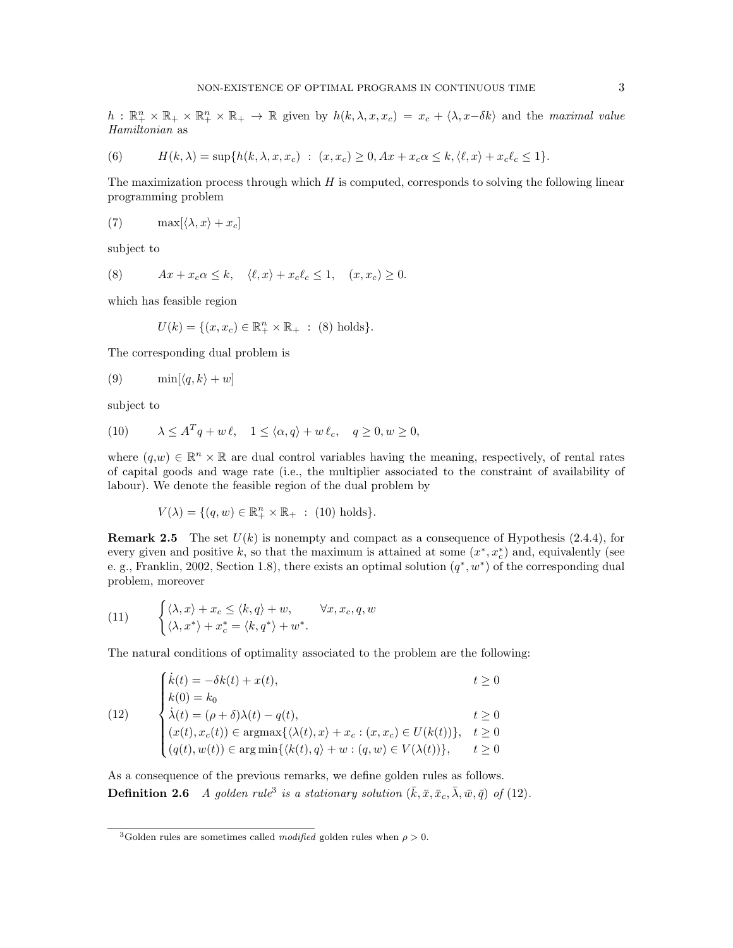$h: \mathbb{R}_+^n \times \mathbb{R}_+ \times \mathbb{R}_+^n \times \mathbb{R}_+ \to \mathbb{R}$  given by  $h(k, \lambda, x, x_c) = x_c + \langle \lambda, x - \delta k \rangle$  and the maximal value Hamiltonian as

(6) 
$$
H(k,\lambda) = \sup\{h(k,\lambda,x,x_c) : (x,x_c) \geq 0, Ax + x_c\alpha \leq k, \langle \ell, x \rangle + x_c\ell_c \leq 1\}.
$$

The maximization process through which  $H$  is computed, corresponds to solving the following linear programming problem

(7) 
$$
\max[\langle \lambda, x \rangle + x_c]
$$

subject to

(8) 
$$
Ax + x_c \alpha \le k, \quad \langle \ell, x \rangle + x_c \ell_c \le 1, \quad (x, x_c) \ge 0.
$$

which has feasible region

$$
U(k) = \{(x, x_c) \in \mathbb{R}_+^n \times \mathbb{R}_+ : (8) holds\}.
$$

The corresponding dual problem is

$$
(9) \qquad \min[\langle q, k \rangle + w]
$$

subject to

(10) 
$$
\lambda \le A^T q + w \ell, \quad 1 \le \langle \alpha, q \rangle + w \ell_c, \quad q \ge 0, w \ge 0,
$$

where  $(q, w) \in \mathbb{R}^n \times \mathbb{R}$  are dual control variables having the meaning, respectively, of rental rates of capital goods and wage rate (i.e., the multiplier associated to the constraint of availability of labour). We denote the feasible region of the dual problem by

$$
V(\lambda) = \{ (q, w) \in \mathbb{R}_+^n \times \mathbb{R}_+ \; : \; (10) \text{ holds} \}.
$$

**Remark 2.5** The set  $U(k)$  is nonempty and compact as a consequence of Hypothesis (2.4.4), for every given and positive k, so that the maximum is attained at some  $(x^*, x_c^*)$  and, equivalently (see e. g., Franklin, 2002, Section 1.8), there exists an optimal solution  $(q^*, w^*)$  of the corresponding dual problem, moreover

(11) 
$$
\begin{cases} \langle \lambda, x \rangle + x_c \le \langle k, q \rangle + w, & \forall x, x_c, q, w \\ \langle \lambda, x^* \rangle + x_c^* = \langle k, q^* \rangle + w^*. \end{cases}
$$

The natural conditions of optimality associated to the problem are the following:

$$
(12) \begin{cases} \n\dot{k}(t) = -\delta k(t) + x(t), & t \ge 0 \\
k(0) = k_0 & \lambda(t) = (\rho + \delta)\lambda(t) - q(t), \\
(x(t), x_c(t)) \in \operatorname{argmax}\{\langle \lambda(t), x \rangle + x_c : (x, x_c) \in U(k(t))\}, & t \ge 0 \\
(q(t), w(t)) \in \operatorname{argmin}\{\langle k(t), q \rangle + w : (q, w) \in V(\lambda(t))\}, & t \ge 0\n\end{cases}
$$

As a consequence of the previous remarks, we define golden rules as follows. **Definition 2.6** A golden rule<sup>3</sup> is a stationary solution  $(\bar{k}, \bar{x}, \bar{x}_c, \bar{\lambda}, \bar{w}, \bar{q})$  of (12).

<sup>&</sup>lt;sup>3</sup>Golden rules are sometimes called *modified* golden rules when  $\rho > 0$ .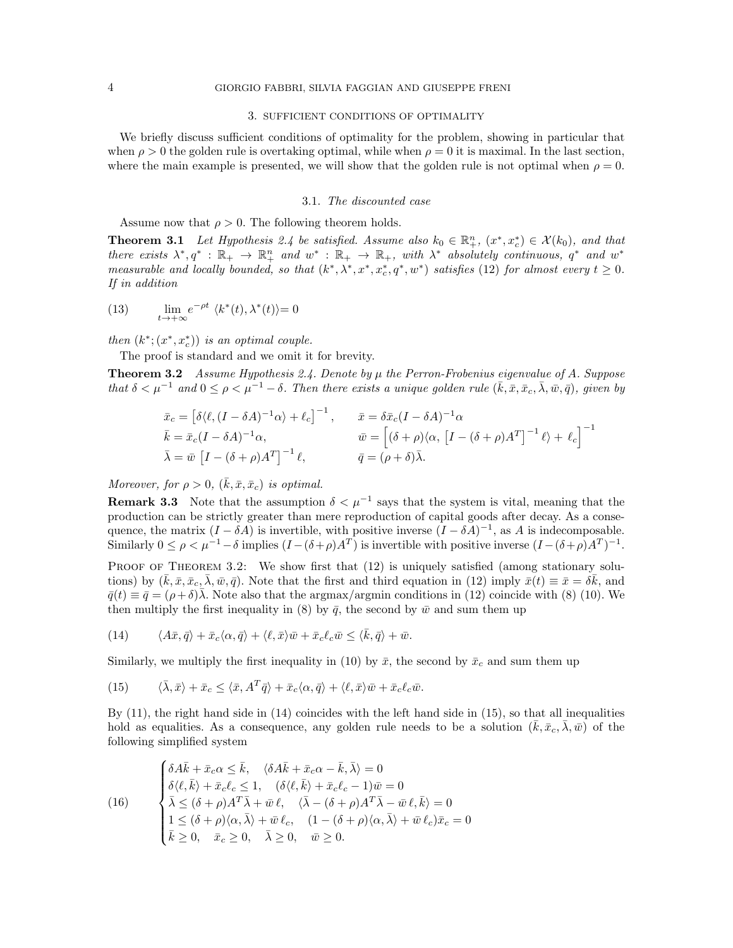#### 3. SUFFICIENT CONDITIONS OF OPTIMALITY

We briefly discuss sufficient conditions of optimality for the problem, showing in particular that when  $\rho > 0$  the golden rule is overtaking optimal, while when  $\rho = 0$  it is maximal. In the last section, where the main example is presented, we will show that the golden rule is not optimal when  $\rho = 0$ .

#### 3.1. The discounted case

Assume now that  $\rho > 0$ . The following theorem holds.

**Theorem 3.1** Let Hypothesis 2.4 be satisfied. Assume also  $k_0 \in \mathbb{R}^n_+$ ,  $(x^*, x_c^*) \in \mathcal{X}(k_0)$ , and that there exists  $\lambda^*, q^* : \mathbb{R}_+ \to \mathbb{R}_+^n$  and  $w^* : \mathbb{R}_+ \to \mathbb{R}_+$ , with  $\lambda^*$  absolutely continuous,  $q^*$  and  $w^*$ measurable and locally bounded, so that  $(k^*, \lambda^*, x^*, x_c^*, q^*, w^*)$  satisfies (12) for almost every  $t \geq 0$ . If in addition

(13)  $\lim_{t \to +\infty} e^{-\rho t} \langle k^*(t), \lambda^*(t) \rangle = 0$ 

then  $(k^*; (x^*, x_c^*))$  is an optimal couple.

The proof is standard and we omit it for brevity.

**Theorem 3.2** Assume Hypothesis 2.4. Denote by  $\mu$  the Perron-Frobenius eigenvalue of A. Suppose that  $\delta < \mu^{-1}$  and  $0 \le \rho < \mu^{-1} - \delta$ . Then there exists a unique golden rule  $(\bar{k}, \bar{x}, \bar{x}_c, \bar{\lambda}, \bar{w}, \bar{q})$ , given by

$$
\begin{aligned}\n\bar{x}_c &= \left[ \delta \langle \ell, (I - \delta A)^{-1} \alpha \rangle + \ell_c \right]^{-1}, & \bar{x} &= \delta \bar{x}_c (I - \delta A)^{-1} \alpha \\
\bar{k} &= \bar{x}_c (I - \delta A)^{-1} \alpha, & \bar{w} &= \left[ (\delta + \rho) \langle \alpha, \left[ I - (\delta + \rho) A^T \right]^{-1} \ell \rangle + \ell_c \right]^{-1} \\
\bar{\lambda} &= \bar{w} \left[ I - (\delta + \rho) A^T \right]^{-1} \ell, & \bar{q} &= (\rho + \delta) \bar{\lambda}.\n\end{aligned}
$$

Moreover, for  $\rho > 0$ ,  $(\bar{k}, \bar{x}, \bar{x}_c)$  is optimal.

**Remark 3.3** Note that the assumption  $\delta < \mu^{-1}$  says that the system is vital, meaning that the production can be strictly greater than mere reproduction of capital goods after decay. As a consequence, the matrix  $(I - \delta A)$  is invertible, with positive inverse  $(I - \delta A)^{-1}$ , as A is indecomposable. Similarly  $0 \leq \rho < \mu^{-1} - \delta$  implies  $(I - (\delta + \rho)A^T)$  is invertible with positive inverse  $(I - (\delta + \rho)A^T)^{-1}$ .

PROOF OF THEOREM 3.2: We show first that (12) is uniquely satisfied (among stationary solutions) by  $(\bar{k}, \bar{x}, \bar{x}_c, \bar{\lambda}, \bar{w}, \bar{q})$ . Note that the first and third equation in (12) imply  $\bar{x}(t) \equiv \bar{x} = \delta \bar{k}$ , and  $\bar{q}(t) \equiv \bar{q} = (\rho + \delta)\bar{\lambda}$ . Note also that the argmax/argmin conditions in (12) coincide with (8) (10). We then multiply the first inequality in (8) by  $\bar{q}$ , the second by  $\bar{w}$  and sum them up

(14) 
$$
\langle A\bar{x},\bar{q}\rangle + \bar{x}_c \langle \alpha,\bar{q}\rangle + \langle \ell,\bar{x}\rangle \bar{w} + \bar{x}_c \ell_c \bar{w} \leq \langle \bar{k},\bar{q}\rangle + \bar{w}.
$$

Similarly, we multiply the first inequality in (10) by  $\bar{x}$ , the second by  $\bar{x}_c$  and sum them up

(15) 
$$
\langle \bar{\lambda}, \bar{x} \rangle + \bar{x}_c \le \langle \bar{x}, A^T \bar{q} \rangle + \bar{x}_c \langle \alpha, \bar{q} \rangle + \langle \ell, \bar{x} \rangle \bar{w} + \bar{x}_c \ell_c \bar{w}.
$$

By  $(11)$ , the right hand side in  $(14)$  coincides with the left hand side in  $(15)$ , so that all inequalities hold as equalities. As a consequence, any golden rule needs to be a solution  $(\bar{k}, \bar{x}_c, \bar{\lambda}, \bar{w})$  of the following simplified system

(16)  
\n
$$
\begin{cases}\n\delta A\bar{k} + \bar{x}_c \alpha \leq \bar{k}, & \langle \delta A\bar{k} + \bar{x}_c \alpha - \bar{k}, \bar{\lambda} \rangle = 0 \\
\delta \langle \ell, \bar{k} \rangle + \bar{x}_c \ell_c \leq 1, & (\delta \langle \ell, \bar{k} \rangle + \bar{x}_c \ell_c - 1) \bar{w} = 0 \\
\bar{\lambda} \leq (\delta + \rho) A^T \bar{\lambda} + \bar{w} \ell, & \langle \bar{\lambda} - (\delta + \rho) A^T \bar{\lambda} - \bar{w} \ell, \bar{k} \rangle = 0 \\
1 \leq (\delta + \rho) \langle \alpha, \bar{\lambda} \rangle + \bar{w} \ell_c, & (1 - (\delta + \rho) \langle \alpha, \bar{\lambda} \rangle + \bar{w} \ell_c) \bar{x}_c = 0 \\
\bar{k} \geq 0, & \bar{x}_c \geq 0, & \bar{\lambda} \geq 0, & \bar{w} \geq 0.\n\end{cases}
$$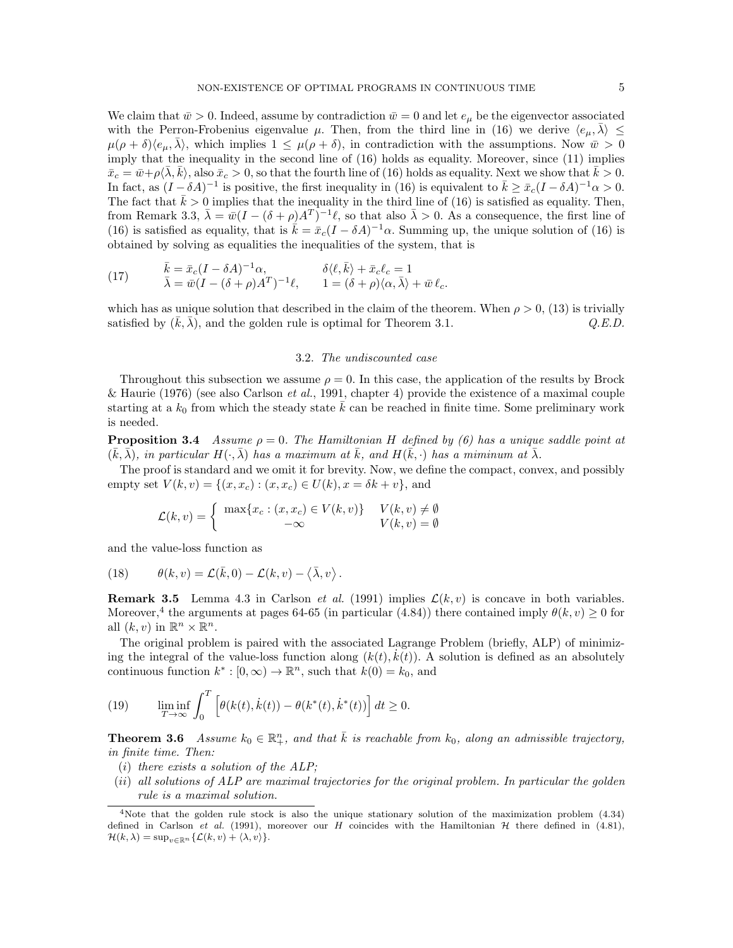We claim that  $\bar{w} > 0$ . Indeed, assume by contradiction  $\bar{w} = 0$  and let  $e_{\mu}$  be the eigenvector associated with the Perron-Frobenius eigenvalue  $\mu$ . Then, from the third line in (16) we derive  $\langle e_{\mu}, \overline{\lambda} \rangle \leq$  $\mu(\rho + \delta)\langle e_{\mu}, \overline{\lambda}\rangle$ , which implies  $1 \leq \mu(\rho + \delta)$ , in contradiction with the assumptions. Now  $\overline{w} > 0$ imply that the inequality in the second line of (16) holds as equality. Moreover, since (11) implies  $\bar{x}_c = \bar{w} + \rho \langle \bar{\lambda}, \bar{k} \rangle$ , also  $\bar{x}_c > 0$ , so that the fourth line of (16) holds as equality. Next we show that  $\bar{k} > 0$ . In fact, as  $(I - \delta A)^{-1}$  is positive, the first inequality in (16) is equivalent to  $\bar{k} \ge \bar{x}_c (I - \delta A)^{-1} \alpha > 0$ . The fact that  $\bar{k} > 0$  implies that the inequality in the third line of (16) is satisfied as equality. Then, from Remark 3.3,  $\bar{\lambda} = \bar{w}(I - (\delta + \rho)A^T)^{-1}\ell$ , so that also  $\bar{\lambda} > 0$ . As a consequence, the first line of (16) is satisfied as equality, that is  $\vec{k} = \bar{x}_c(I - \delta A)^{-1}\alpha$ . Summing up, the unique solution of (16) is obtained by solving as equalities the inequalities of the system, that is

(17) 
$$
\bar{k} = \bar{x}_c (I - \delta A)^{-1} \alpha, \qquad \delta \langle \ell, \bar{k} \rangle + \bar{x}_c \ell_c = 1 \n\bar{\lambda} = \bar{w} (I - (\delta + \rho) A^T)^{-1} \ell, \qquad 1 = (\delta + \rho) \langle \alpha, \bar{\lambda} \rangle + \bar{w} \ell_c.
$$

which has as unique solution that described in the claim of the theorem. When  $\rho > 0$ , (13) is trivially satisfied by  $(k, \lambda)$ , and the golden rule is optimal for Theorem 3.1.  $Q.E.D.$ 

## 3.2. The undiscounted case

Throughout this subsection we assume  $\rho = 0$ . In this case, the application of the results by Brock & Haurie (1976) (see also Carlson *et al.*, 1991, chapter 4) provide the existence of a maximal couple starting at a  $k_0$  from which the steady state  $k$  can be reached in finite time. Some preliminary work is needed.

**Proposition 3.4** Assume  $\rho = 0$ . The Hamiltonian H defined by (6) has a unique saddle point at  $(\bar{k}, \bar{\lambda}),$  in particular  $H(\cdot, \bar{\lambda})$  has a maximum at  $\bar{k}$ , and  $H(\bar{k}, \cdot)$  has a miminum at  $\bar{\lambda}$ .

The proof is standard and we omit it for brevity. Now, we define the compact, convex, and possibly empty set  $V(k, v) = \{(x, x_c) : (x, x_c) \in U(k), x = \delta k + v\}$ , and

$$
\mathcal{L}(k, v) = \begin{cases} \max\{x_c : (x, x_c) \in V(k, v)\} & V(k, v) \neq \emptyset \\ -\infty & V(k, v) = \emptyset \end{cases}
$$

and the value-loss function as

(18) 
$$
\theta(k,v) = \mathcal{L}(\bar{k},0) - \mathcal{L}(k,v) - \langle \bar{\lambda}, v \rangle.
$$

**Remark 3.5** Lemma 4.3 in Carlson *et al.* (1991) implies  $\mathcal{L}(k, v)$  is concave in both variables. Moreover,<sup>4</sup> the arguments at pages 64-65 (in particular (4.84)) there contained imply  $\theta(k, v) \ge 0$  for all  $(k, v)$  in  $\mathbb{R}^n \times \mathbb{R}^n$ .

The original problem is paired with the associated Lagrange Problem (briefly, ALP) of minimizing the integral of the value-loss function along  $(k(t), k(t))$ . A solution is defined as an absolutely continuous function  $k^* : [0, \infty) \to \mathbb{R}^n$ , such that  $k(0) = k_0$ , and

(19) 
$$
\liminf_{T \to \infty} \int_0^T \left[ \theta(k(t), \dot{k}(t)) - \theta(k^*(t), \dot{k}^*(t)) \right] dt \ge 0.
$$

**Theorem 3.6** Assume  $k_0 \in \mathbb{R}^n_+$ , and that  $\overline{k}$  is reachable from  $k_0$ , along an admissible trajectory, in finite time. Then:

- (i) there exists a solution of the  $ALP$ ;
- (ii) all solutions of ALP are maximal trajectories for the original problem. In particular the golden rule is a maximal solution.

<sup>&</sup>lt;sup>4</sup>Note that the golden rule stock is also the unique stationary solution of the maximization problem  $(4.34)$ defined in Carlson et al. (1991), moreover our H coincides with the Hamiltonian  $H$  there defined in (4.81),  $\mathcal{H}(k, \lambda) = \sup_{v \in \mathbb{R}^n} {\{\mathcal{L}(k, v) + \langle \lambda, v \rangle\}}.$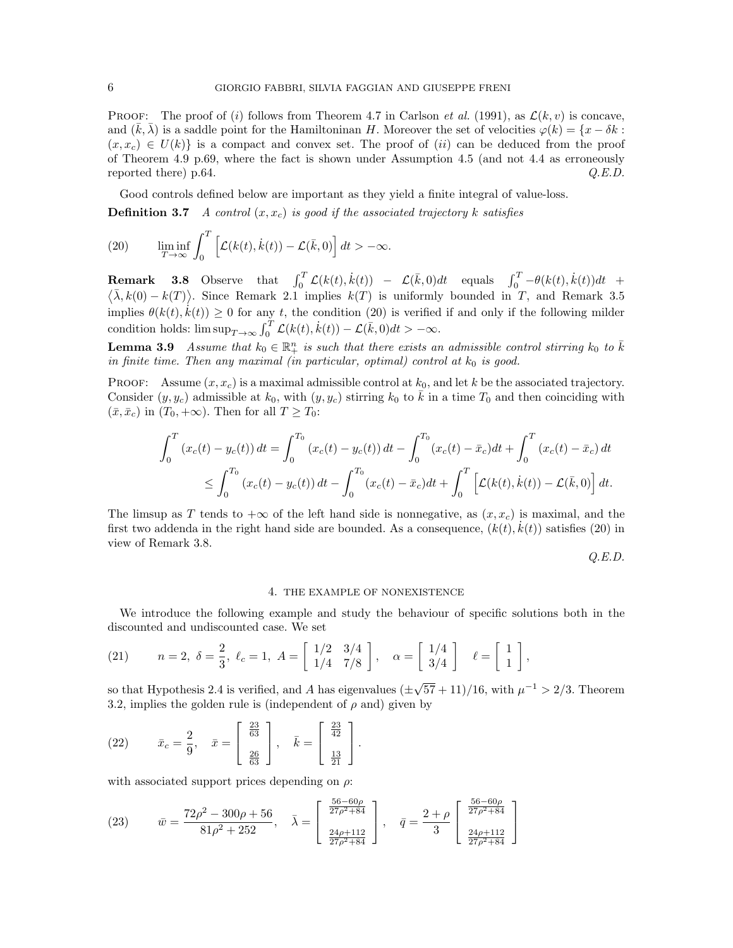**PROOF:** The proof of (i) follows from Theorem 4.7 in Carlson *et al.* (1991), as  $\mathcal{L}(k, v)$  is concave, and  $(k, \lambda)$  is a saddle point for the Hamiltoninan H. Moreover the set of velocities  $\varphi(k) = \{x - \delta k :$  $(x, x_c) \in U(k)$  is a compact and convex set. The proof of (ii) can be deduced from the proof of Theorem 4.9 p.69, where the fact is shown under Assumption 4.5 (and not 4.4 as erroneously reported there) p.64.  $Q.E.D.$ 

Good controls defined below are important as they yield a finite integral of value-loss.

**Definition 3.7** A control  $(x, x_c)$  is good if the associated trajectory k satisfies

(20) 
$$
\liminf_{T \to \infty} \int_0^T \left[ \mathcal{L}(k(t), \dot{k}(t)) - \mathcal{L}(\bar{k}, 0) \right] dt > -\infty.
$$

**Remark 3.8** Observe that  $\int_0^T \mathcal{L}(k(t), \dot{k}(t)) - \mathcal{L}(\bar{k}, 0)dt$  equals  $\int_0^T -\theta(k(t), \dot{k}(t))dt$  +  $\langle \bar{\lambda}, k(0) - k(T) \rangle$ . Since Remark 2.1 implies  $k(T)$  is uniformly bounded in T, and Remark 3.5 implies  $\theta(k(t), \dot{k}(t)) \geq 0$  for any t, the condition (20) is verified if and only if the following milder condition holds:  $\limsup_{T \to \infty} \int_0^T \mathcal{L}(k(t), \dot{k}(t)) - \mathcal{L}(\bar{k}, 0) dt > -\infty$ .

**Lemma 3.9** Assume that  $k_0 \in \mathbb{R}^n_+$  is such that there exists an admissible control stirring  $k_0$  to  $\overline{k}$ in finite time. Then any maximal (in particular, optimal) control at  $k_0$  is good.

PROOF: Assume  $(x, x_c)$  is a maximal admissible control at  $k_0$ , and let k be the associated trajectory. Consider  $(y, y_c)$  admissible at  $k_0$ , with  $(y, y_c)$  stirring  $k_0$  to k in a time  $T_0$  and then coinciding with  $(\bar{x}, \bar{x}_c)$  in  $(T_0, +\infty)$ . Then for all  $T \geq T_0$ :

$$
\int_0^T (x_c(t) - y_c(t)) dt = \int_0^{T_0} (x_c(t) - y_c(t)) dt - \int_0^{T_0} (x_c(t) - \bar{x}_c) dt + \int_0^T (x_c(t) - \bar{x}_c) dt
$$
  

$$
\leq \int_0^{T_0} (x_c(t) - y_c(t)) dt - \int_0^{T_0} (x_c(t) - \bar{x}_c) dt + \int_0^T \left[ \mathcal{L}(k(t), \dot{k}(t)) - \mathcal{L}(\bar{k}, 0) \right] dt.
$$

The limsup as T tends to  $+\infty$  of the left hand side is nonnegative, as  $(x, x_c)$  is maximal, and the first two addenda in the right hand side are bounded. As a consequence,  $(k(t), \dot{k}(t))$  satisfies (20) in view of Remark 3.8.

Q.E.D.

## 4. THE EXAMPLE OF NONEXISTENCE

We introduce the following example and study the behaviour of specific solutions both in the discounted and undiscounted case. We set

(21) 
$$
n = 2, \delta = \frac{2}{3}, \ell_c = 1, A = \begin{bmatrix} 1/2 & 3/4 \\ 1/4 & 7/8 \end{bmatrix}, \alpha = \begin{bmatrix} 1/4 \\ 3/4 \end{bmatrix}, \ell = \begin{bmatrix} 1 \\ 1 \end{bmatrix},
$$

so that Hypothesis 2.4 is verified, and A has eigenvalues ( $\pm$  $(57 + 11)/16$ , with  $\mu^{-1} > 2/3$ . Theorem 3.2, implies the golden rule is (independent of  $\rho$  and) given by

(22) 
$$
\bar{x}_c = \frac{2}{9}, \quad \bar{x} = \begin{bmatrix} \frac{23}{63} \\ \frac{26}{63} \end{bmatrix}, \quad \bar{k} = \begin{bmatrix} \frac{23}{42} \\ \frac{13}{21} \end{bmatrix}.
$$

with associated support prices depending on  $\rho$ :

(23) 
$$
\bar{w} = \frac{72\rho^2 - 300\rho + 56}{81\rho^2 + 252}, \quad \bar{\lambda} = \begin{bmatrix} \frac{56 - 60\rho}{27\rho^2 + 84} \\ \frac{24\rho + 112}{27\rho^2 + 84} \end{bmatrix}, \quad \bar{q} = \frac{2 + \rho}{3} \begin{bmatrix} \frac{56 - 60\rho}{27\rho^2 + 84} \\ \frac{24\rho + 112}{27\rho^2 + 84} \end{bmatrix}
$$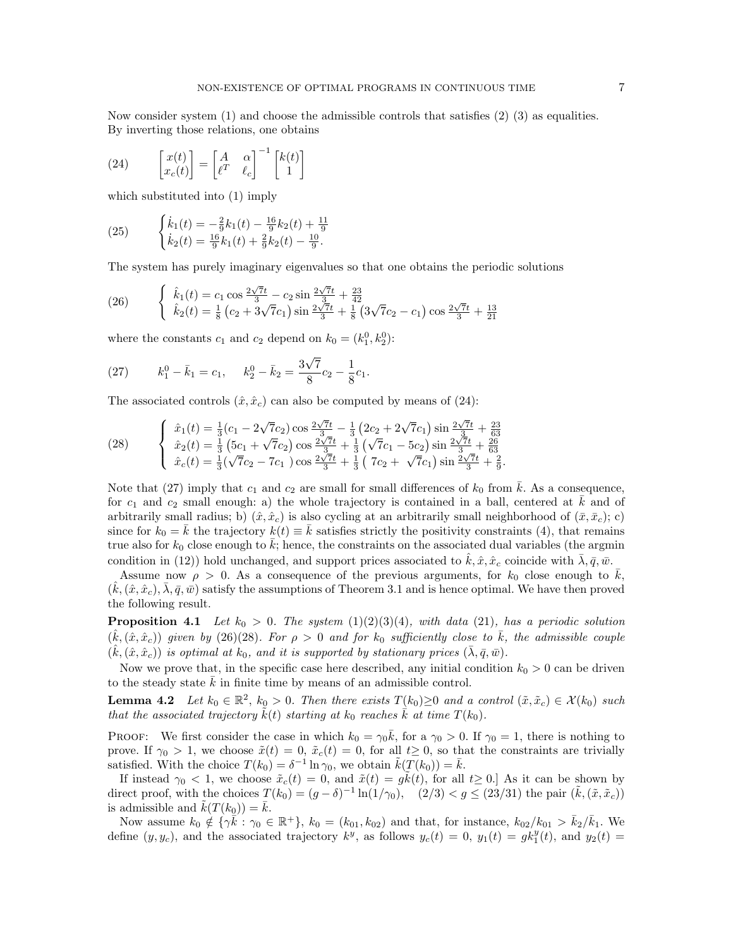Now consider system  $(1)$  and choose the admissible controls that satisfies  $(2)$   $(3)$  as equalities. By inverting those relations, one obtains

(24) 
$$
\begin{bmatrix} x(t) \\ x_c(t) \end{bmatrix} = \begin{bmatrix} A & \alpha \\ \ell^T & \ell_c \end{bmatrix}^{-1} \begin{bmatrix} k(t) \\ 1 \end{bmatrix}
$$

which substituted into (1) imply

(25) 
$$
\begin{cases} \dot{k}_1(t) = -\frac{2}{9}k_1(t) - \frac{16}{9}k_2(t) + \frac{11}{9} \\ \dot{k}_2(t) = \frac{16}{9}k_1(t) + \frac{2}{9}k_2(t) - \frac{10}{9}. \end{cases}
$$

The system has purely imaginary eigenvalues so that one obtains the periodic solutions

(26) 
$$
\begin{cases} \hat{k}_1(t) = c_1 \cos \frac{2\sqrt{7}t}{3} - c_2 \sin \frac{2\sqrt{7}t}{3} + \frac{23}{42} \\ \hat{k}_2(t) = \frac{1}{8} (c_2 + 3\sqrt{7}c_1) \sin \frac{2\sqrt{7}t}{3} + \frac{1}{8} (3\sqrt{7}c_2 - c_1) \cos \frac{2\sqrt{7}t}{3} + \frac{13}{21} \end{cases}
$$

where the constants  $c_1$  and  $c_2$  depend on  $k_0 = (k_1^0, k_2^0)$ :

(27) 
$$
k_1^0 - \bar{k}_1 = c_1, \quad k_2^0 - \bar{k}_2 = \frac{3\sqrt{7}}{8}c_2 - \frac{1}{8}c_1.
$$

The associated controls  $(\hat{x}, \hat{x}_c)$  can also be computed by means of (24):

(28) 
$$
\begin{cases} \n\hat{x}_1(t) = \frac{1}{3}(c_1 - 2\sqrt{7}c_2)\cos\frac{2\sqrt{7}t}{3} - \frac{1}{3}(2c_2 + 2\sqrt{7}c_1)\sin\frac{2\sqrt{7}t}{3} + \frac{23}{63} \\ \n\hat{x}_2(t) = \frac{1}{3}(5c_1 + \sqrt{7}c_2)\cos\frac{2\sqrt{7}t}{3} + \frac{1}{3}(\sqrt{7}c_1 - 5c_2)\sin\frac{2\sqrt{7}t}{3} + \frac{26}{63} \\ \n\hat{x}_c(t) = \frac{1}{3}(\sqrt{7}c_2 - 7c_1)\cos\frac{2\sqrt{7}t}{3} + \frac{1}{3}(7c_2 + \sqrt{7}c_1)\sin\frac{2\sqrt{7}t}{3} + \frac{2}{9}. \n\end{cases}
$$

Note that (27) imply that  $c_1$  and  $c_2$  are small for small differences of  $k_0$  from  $\bar{k}$ . As a consequence, for  $c_1$  and  $c_2$  small enough: a) the whole trajectory is contained in a ball, centered at k and of arbitrarily small radius; b)  $(\hat{x}, \hat{x}_c)$  is also cycling at an arbitrarily small neighborhood of  $(\bar{x}, \bar{x}_c)$ ; c) since for  $k_0 = k$  the trajectory  $k(t) \equiv k$  satisfies strictly the positivity constraints (4), that remains true also for  $k_0$  close enough to  $k$ ; hence, the constraints on the associated dual variables (the argmin condition in (12)) hold unchanged, and support prices associated to  $\hat{k}, \hat{x}, \hat{x}_c$  coincide with  $\lambda, \bar{q}, \bar{w}$ .

Assume now  $\rho > 0$ . As a consequence of the previous arguments, for  $k_0$  close enough to  $\overline{k}$ ,  $(\hat{k},(\hat{x},\hat{x}_c),\overline{\lambda},\overline{q},\overline{w})$  satisfy the assumptions of Theorem 3.1 and is hence optimal. We have then proved the following result.

**Proposition 4.1** Let  $k_0 > 0$ . The system  $(1)(2)(3)(4)$ , with data  $(21)$ , has a periodic solution  $(\hat{k},(\hat{x},\hat{x}_c))$  given by (26)(28). For  $\rho > 0$  and for  $k_0$  sufficiently close to  $\bar{k}$ , the admissible couple  $(\hat{k},(\hat{x},\hat{x}_c))$  is optimal at  $k_0$ , and it is supported by stationary prices  $(\bar{\lambda},\bar{q},\bar{w})$ .

Now we prove that, in the specific case here described, any initial condition  $k_0 > 0$  can be driven to the steady state  $k$  in finite time by means of an admissible control.

**Lemma 4.2** Let  $k_0 \in \mathbb{R}^2$ ,  $k_0 > 0$ . Then there exists  $T(k_0) \geq 0$  and a control  $(\tilde{x}, \tilde{x}_c) \in \mathcal{X}(k_0)$  such that the associated trajectory  $k(t)$  starting at  $k_0$  reaches k at time  $T(k_0)$ .

**PROOF:** We first consider the case in which  $k_0 = \gamma_0 \bar{k}$ , for a  $\gamma_0 > 0$ . If  $\gamma_0 = 1$ , there is nothing to prove. If  $\gamma_0 > 1$ , we choose  $\tilde{x}(t) = 0$ ,  $\tilde{x}_c(t) = 0$ , for all  $t \geq 0$ , so that the constraints are trivially satisfied. With the choice  $T(k_0) = \delta^{-1} \ln \gamma_0$ , we obtain  $\tilde{k}(T(k_0)) = \bar{k}$ .

If instead  $\gamma_0 < 1$ , we choose  $\tilde{x}_c(t) = 0$ , and  $\tilde{x}(t) = g\tilde{k}(t)$ , for all  $t \geq 0$ . As it can be shown by direct proof, with the choices  $T(k_0) = (g - \delta)^{-1} \ln(1/\gamma_0)$ ,  $(2/3) < g \leq (23/31)$  the pair  $(\tilde{k}, (\tilde{x}, \tilde{x}_c))$ is admissible and  $k(T(k_0)) = \overline{k}$ .

Now assume  $k_0 \notin {\{\gamma \tilde{k} : \gamma_0 \in \mathbb{R}^+\}}$ ,  $k_0 = (k_{01}, k_{02})$  and that, for instance,  $k_{02}/k_{01} > \bar{k}_2/\bar{k}_1$ . We define  $(y, y_c)$ , and the associated trajectory  $k^y$ , as follows  $y_c(t) = 0$ ,  $y_1(t) = g k_1^y(t)$ , and  $y_2(t) =$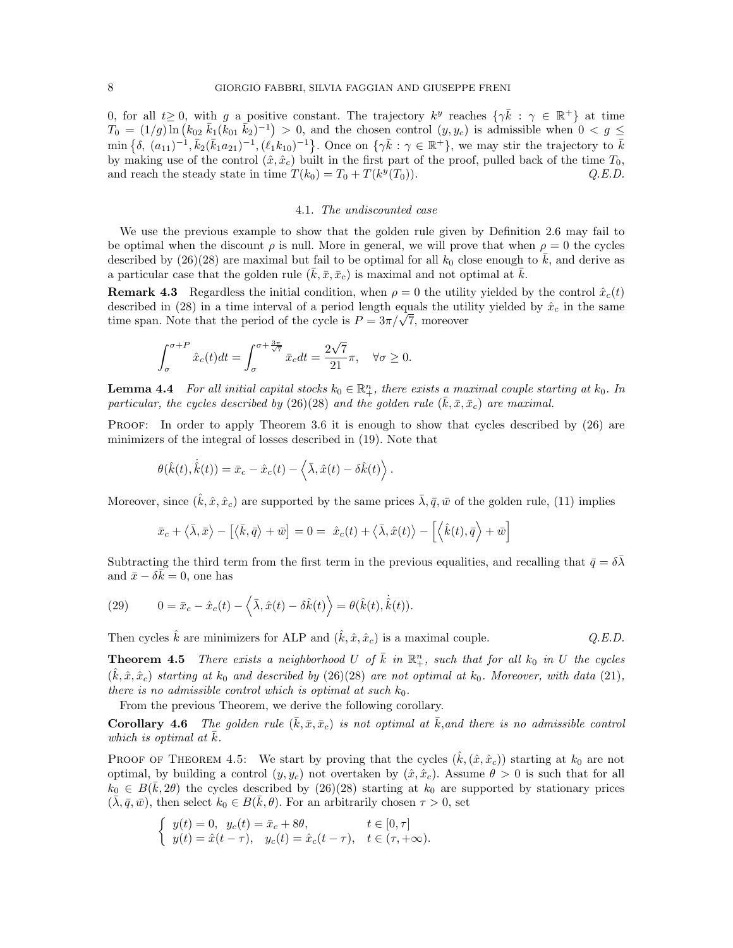0, for all  $t \geq 0$ , with g a positive constant. The trajectory  $k^y$  reaches  $\{\gamma \overline{k} : \gamma \in \mathbb{R}^+\}$  at time  $T_0 = (1/g)\overline{\ln(k_{02} k_1(k_{01} k_2)^{-1}} > 0$ , and the chosen control  $(y, y_c)$  is admissible when  $0 < g \le$  $\min\{\delta, (a_{11})^{-1}, \bar{k}_2(\bar{k}_1a_{21})^{-1}, (\ell_1k_{10})^{-1}\}.$  Once on  $\{\gamma\bar{k} : \gamma \in \mathbb{R}^+\}$ , we may stir the trajectory to  $\bar{k}$ by making use of the control  $(\hat{x}, \hat{x}_c)$  built in the first part of the proof, pulled back of the time  $T_0$ , and reach the steady state in time  $T(k_0) = T_0 + T(k^y)$  $Q.E.D.$ 

## 4.1. The undiscounted case

We use the previous example to show that the golden rule given by Definition 2.6 may fail to be optimal when the discount  $\rho$  is null. More in general, we will prove that when  $\rho = 0$  the cycles described by  $(26)(28)$  are maximal but fail to be optimal for all  $k_0$  close enough to  $\overline{k}$ , and derive as a particular case that the golden rule  $(k, \bar{x}, \bar{x}_c)$  is maximal and not optimal at  $\bar{k}$ .

**Remark 4.3** Regardless the initial condition, when  $\rho = 0$  the utility yielded by the control  $\hat{x}_c(t)$ described in (28) in a time interval of a period length equals the utility yielded by  $\hat{x}_c$  in the same described in (28) in a time interval or a period length equals the util<br>time span. Note that the period of the cycle is  $P = 3\pi/\sqrt{7}$ , moreover

$$
\int_{\sigma}^{\sigma+P} \hat{x}_c(t)dt = \int_{\sigma}^{\sigma+\frac{3\pi}{\sqrt{7}}} \bar{x}_c dt = \frac{2\sqrt{7}}{21}\pi, \quad \forall \sigma \ge 0.
$$

**Lemma 4.4** For all initial capital stocks  $k_0 \in \mathbb{R}^n_+$ , there exists a maximal couple starting at  $k_0$ . In particular, the cycles described by (26)(28) and the golden rule  $(\bar{k}, \bar{x}, \bar{x}_c)$  are maximal.

PROOF: In order to apply Theorem 3.6 it is enough to show that cycles described by  $(26)$  are minimizers of the integral of losses described in (19). Note that

$$
\theta(\hat{k}(t),\dot{\hat{k}}(t)) = \bar{x}_c - \hat{x}_c(t) - \langle \bar{\lambda}, \hat{x}(t) - \delta \hat{k}(t) \rangle.
$$

Moreover, since  $(\hat{k}, \hat{x}, \hat{x}_c)$  are supported by the same prices  $\bar{\lambda}, \bar{q}, \bar{w}$  of the golden rule, (11) implies

$$
\bar{x}_c + \langle \bar{\lambda}, \bar{x} \rangle - [\langle \bar{k}, \bar{q} \rangle + \bar{w}] = 0 = \hat{x}_c(t) + \langle \bar{\lambda}, \hat{x}(t) \rangle - [\langle \hat{k}(t), \bar{q} \rangle + \bar{w}]
$$

Subtracting the third term from the first term in the previous equalities, and recalling that  $\bar{q} = \delta \bar{\lambda}$ and  $\bar{x} - \delta \bar{k} = 0$ , one has

(29) 
$$
0 = \bar{x}_c - \hat{x}_c(t) - \langle \bar{\lambda}, \hat{x}(t) - \delta \hat{k}(t) \rangle = \theta(\hat{k}(t), \dot{\hat{k}}(t)).
$$

Then cycles  $\hat{k}$  are minimizers for ALP and  $(\hat{k}, \hat{x}, \hat{x}_c)$  is a maximal couple.  $Q.E.D.$ 

**Theorem 4.5** There exists a neighborhood U of  $\overline{k}$  in  $\mathbb{R}^n_+$ , such that for all  $k_0$  in U the cycles  $(\hat{k}, \hat{x}, \hat{x}_c)$  starting at  $k_0$  and described by (26)(28) are not optimal at  $k_0$ . Moreover, with data (21), there is no admissible control which is optimal at such  $k_0$ .

From the previous Theorem, we derive the following corollary.

**Corollary 4.6** The golden rule  $(\bar{k}, \bar{x}, \bar{x}_c)$  is not optimal at  $\bar{k}$ , and there is no admissible control which is optimal at  $\bar{k}$ .

**PROOF OF THEOREM 4.5:** We start by proving that the cycles  $(\hat{k},(\hat{x},\hat{x}_c))$  starting at  $k_0$  are not optimal, by building a control  $(y, y_c)$  not overtaken by  $(\hat{x}, \hat{x}_c)$ . Assume  $\theta > 0$  is such that for all  $k_0 \in B(\bar{k}, 2\theta)$  the cycles described by (26)(28) starting at  $k_0$  are supported by stationary prices  $(\bar{\lambda}, \bar{q}, \bar{w})$ , then select  $k_0 \in B(\bar{k}, \theta)$ . For an arbitrarily chosen  $\tau > 0$ , set

$$
\begin{cases} y(t) = 0, \ y_c(t) = \bar{x}_c + 8\theta, & t \in [0, \tau] \\ y(t) = \hat{x}(t - \tau), \ y_c(t) = \hat{x}_c(t - \tau), & t \in (\tau, +\infty). \end{cases}
$$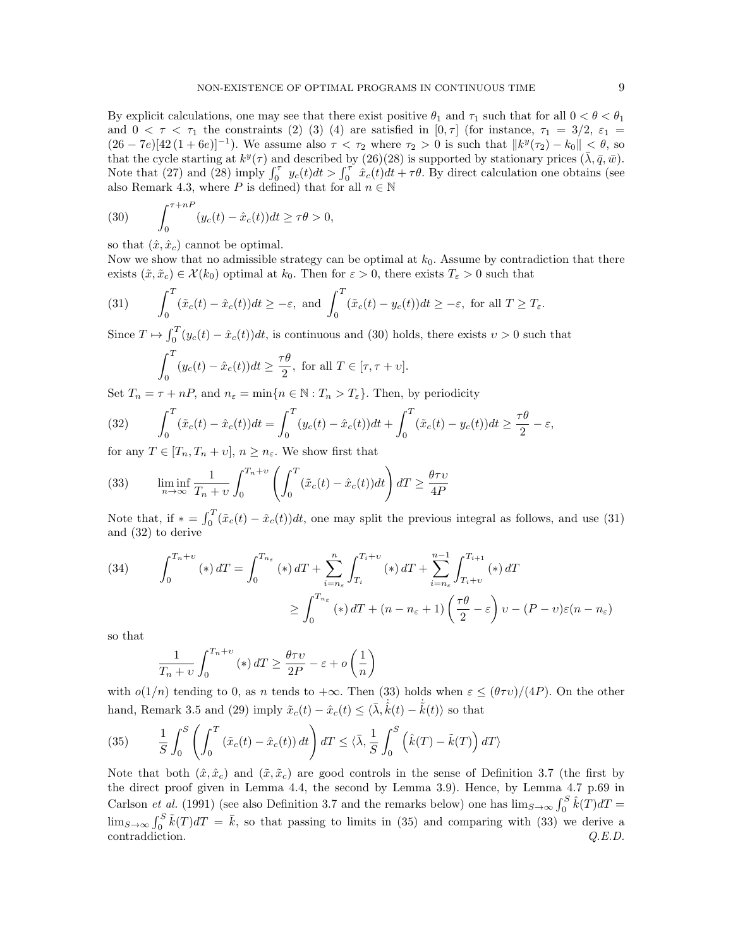By explicit calculations, one may see that there exist positive  $\theta_1$  and  $\tau_1$  such that for all  $0 < \theta < \theta_1$ and  $0 < \tau < \tau_1$  the constraints (2) (3) (4) are satisfied in [0,  $\tau$ ] (for instance,  $\tau_1 = 3/2$ ,  $\varepsilon_1 =$  $(26-7e)[42(1+6e)]^{-1}$ ). We assume also  $\tau < \tau_2$  where  $\tau_2 > 0$  is such that  $||k^y(\tau_2) - k_0|| < \theta$ , so that the cycle starting at  $k^y(\tau)$  and described by (26)(28) is supported by stationary prices  $(\bar{\lambda}, \bar{q}, \bar{w})$ . Note that (27) and (28) imply  $\int_0^{\tau} y_c(t)dt > \int_0^{\tau} \hat{x}_c(t)dt + \tau \theta$ . By direct calculation one obtains (see also Remark 4.3, where P is defined) that for all  $n \in \mathbb{N}$ 

(30) 
$$
\int_0^{\tau+nP} (y_c(t) - \hat{x}_c(t))dt \ge \tau\theta > 0,
$$

so that  $(\hat{x}, \hat{x}_c)$  cannot be optimal.

Now we show that no admissible strategy can be optimal at  $k<sub>0</sub>$ . Assume by contradiction that there exists  $(\tilde{x}, \tilde{x}_c) \in \mathcal{X}(k_0)$  optimal at  $k_0$ . Then for  $\varepsilon > 0$ , there exists  $T_{\varepsilon} > 0$  such that

(31) 
$$
\int_0^T (\tilde{x}_c(t) - \hat{x}_c(t))dt \geq -\varepsilon, \text{ and } \int_0^T (\tilde{x}_c(t) - y_c(t))dt \geq -\varepsilon, \text{ for all } T \geq T_{\varepsilon}.
$$

Since  $T \mapsto \int_0^T (y_c(t) - \hat{x}_c(t))dt$ , is continuous and (30) holds, there exists  $v > 0$  such that

$$
\int_0^T (y_c(t) - \hat{x}_c(t))dt \ge \frac{\tau \theta}{2}, \text{ for all } T \in [\tau, \tau + \upsilon].
$$

Set  $T_n = \tau + nP$ , and  $n_{\varepsilon} = \min\{n \in \mathbb{N} : T_n > T_{\varepsilon}\}\.$  Then, by periodicity

(32) 
$$
\int_0^T (\tilde{x}_c(t) - \hat{x}_c(t))dt = \int_0^T (y_c(t) - \hat{x}_c(t))dt + \int_0^T (\tilde{x}_c(t) - y_c(t))dt \ge \frac{\tau \theta}{2} - \varepsilon,
$$

for any  $T \in [T_n, T_n + v]$ ,  $n \geq n_{\varepsilon}$ . We show first that

(33) 
$$
\liminf_{n \to \infty} \frac{1}{T_n + v} \int_0^{T_n + v} \left( \int_0^T (\tilde{x}_c(t) - \hat{x}_c(t)) dt \right) dT \ge \frac{\theta \tau v}{4P}
$$

Note that, if  $* = \int_0^T (\tilde{x}_c(t) - \hat{x}_c(t))dt$ , one may split the previous integral as follows, and use (31) and (32) to derive

(34) 
$$
\int_0^{T_n+\upsilon} (*) dT = \int_0^{T_{n_{\varepsilon}}} (*) dT + \sum_{i=n_{\varepsilon}}^n \int_{T_i}^{T_i+\upsilon} (*) dT + \sum_{i=n_{\varepsilon}}^{n-1} \int_{T_i+\upsilon}^{T_{i+1}} (*) dT
$$

$$
\geq \int_0^{T_{n_{\varepsilon}}} (*) dT + (n - n_{\varepsilon} + 1) \left(\frac{\tau \theta}{2} - \varepsilon\right) \upsilon - (P - \upsilon)\varepsilon (n - n_{\varepsilon})
$$

so that

$$
\frac{1}{T_n+v} \int_0^{T_n+v} (*) \, dT \ge \frac{\theta \tau v}{2P} - \varepsilon + o\left(\frac{1}{n}\right)
$$

with  $o(1/n)$  tending to 0, as n tends to  $+\infty$ . Then (33) holds when  $\varepsilon \leq (\theta \tau v)/(4P)$ . On the other hand, Remark 3.5 and (29) imply  $\tilde{x}_c(t) - \hat{x}_c(t) \leq \langle \bar{\lambda}, \hat{k}(t) - \hat{k}(t) \rangle$  so that

(35) 
$$
\frac{1}{S} \int_0^S \left( \int_0^T \left( \tilde{x}_c(t) - \hat{x}_c(t) \right) dt \right) dT \leq \langle \bar{\lambda}, \frac{1}{S} \int_0^S \left( \hat{k}(T) - \tilde{k}(T) \right) dT \rangle
$$

Note that both  $(\hat{x}, \hat{x}_c)$  and  $(\tilde{x}, \tilde{x}_c)$  are good controls in the sense of Definition 3.7 (the first by the direct proof given in Lemma 4.4, the second by Lemma 3.9). Hence, by Lemma 4.7 p.69 in Carlson *et al.* (1991) (see also Definition 3.7 and the remarks below) one has  $\lim_{S\to\infty} \int_0^S \hat{k}(T)dT =$  $\lim_{S\to\infty}\int_0^S \tilde{k}(T)dT = \bar{k}$ , so that passing to limits in (35) and comparing with (33) we derive a contraddiction.  $Q.E.D.$